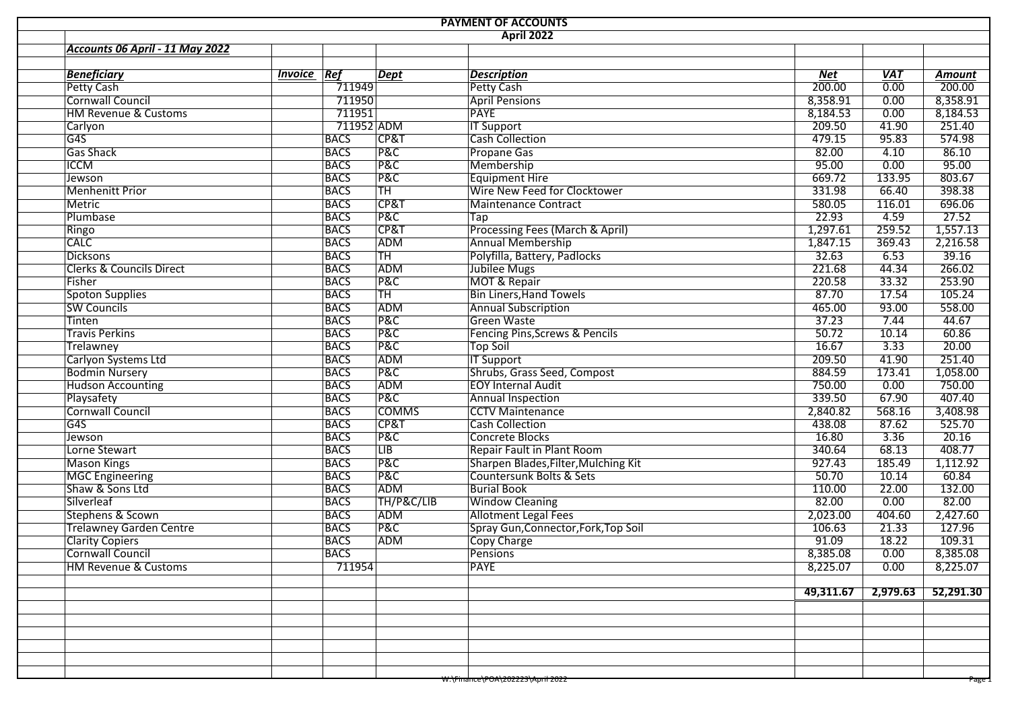|                                           |         |             |                 | <b>PAYMENT OF ACCOUNTS</b><br><b>April 2022</b> |            |            |               |
|-------------------------------------------|---------|-------------|-----------------|-------------------------------------------------|------------|------------|---------------|
| Accounts 06 April - 11 May 2022           |         |             |                 |                                                 |            |            |               |
|                                           |         |             |                 |                                                 |            |            |               |
| <b>Beneficiary</b>                        | Invoice | Ref         | Dept            | <b>Description</b>                              | <b>Net</b> | <b>VAT</b> | <b>Amount</b> |
| <b>Petty Cash</b>                         |         | 711949      |                 | <b>Petty Cash</b>                               | 200.00     | 0.00       |               |
| Cornwall Council                          |         | 711950      |                 | <b>April Pensions</b>                           | 8,358.91   | 0.00       | 8,358.91      |
| <b>HM Revenue &amp; Customs</b>           |         | 711951      |                 | <b>PAYE</b>                                     | 8,184.53   | 0.00       | 8,184.53      |
| Carlyon                                   |         |             | 711952 ADM      | <b>IT Support</b>                               | 209.50     | 41.90      |               |
| G4S                                       |         | <b>BACS</b> | <b>CP&amp;T</b> | <b>Cash Collection</b>                          | 479.15     | 95.83      |               |
| <b>Gas Shack</b>                          |         | <b>BACS</b> | <b>P&amp;C</b>  | <b>Propane Gas</b>                              | 82.00      | 4.10       |               |
| <b>ICCM</b>                               |         | <b>BACS</b> | P&C             | Membership                                      | 95.00      | 0.00       |               |
| Jewson                                    |         | <b>BACS</b> | P&C             | <b>Equipment Hire</b>                           | 669.72     | 133.95     |               |
| <b>Menhenitt Prior</b>                    |         | <b>BACS</b> | <b>TH</b>       | Wire New Feed for Clocktower                    | 331.98     | 66.40      |               |
| Metric                                    |         | <b>BACS</b> | CP&T            | Maintenance Contract                            | 580.05     | 116.01     |               |
| Plumbase                                  |         | <b>BACS</b> | <b>P&amp;C</b>  | $\overline{\text{Tap}}$                         | 22.93      | 4.59       |               |
| Ringo                                     |         | <b>BACS</b> | CP&T            | Processing Fees (March & April)                 | 1,297.61   | 259.52     | 1,557.13      |
| <b>CALC</b>                               |         | <b>BACS</b> | ADM             | <b>Annual Membership</b>                        | 1,847.15   | 369.43     | 2,216.58      |
| <b>Dicksons</b>                           |         | <b>BACS</b> | TH              | Polyfilla, Battery, Padlocks                    | 32.63      | 6.53       |               |
| <b>Clerks &amp; Councils Direct</b>       |         | <b>BACS</b> | ADM             | Jubilee Mugs                                    | 221.68     | 44.34      |               |
| Fisher                                    |         | <b>BACS</b> | <b>P&amp;C</b>  | <b>MOT &amp; Repair</b>                         | 220.58     | 33.32      |               |
| <b>Spoton Supplies</b>                    |         | <b>BACS</b> | <b>TH</b>       | <b>Bin Liners, Hand Towels</b>                  | 87.70      | 17.54      |               |
| <b>SW Councils</b>                        |         | <b>BACS</b> | ADM             | <b>Annual Subscription</b>                      | 465.00     | 93.00      |               |
| Tinten                                    |         | <b>BACS</b> | P&C             | Green Waste                                     | 37.23      | 7.44       |               |
| <b>Travis Perkins</b>                     |         | <b>BACS</b> | <b>P&amp;C</b>  | Fencing Pins, Screws & Pencils                  | 50.72      | 10.14      |               |
| <b>Trelawney</b>                          |         | <b>BACS</b> | <b>P&amp;C</b>  | <b>Top Soil</b>                                 | 16.67      | 3.33       |               |
| Carlyon Systems Ltd                       |         | <b>BACS</b> | ADM             | <b>IT Support</b>                               | 209.50     | 41.90      |               |
| <b>Bodmin Nursery</b>                     |         | <b>BACS</b> | P&C             | Shrubs, Grass Seed, Compost                     | 884.59     | 173.41     | 1,058.00      |
| <b>Hudson Accounting</b>                  |         | <b>BACS</b> | ADM             | <b>EOY Internal Audit</b>                       | 750.00     | 0.00       |               |
| Playsafety                                |         | <b>BACS</b> | P&C             | Annual Inspection                               | 339.50     | 67.90      |               |
| <b>Cornwall Council</b>                   |         | <b>BACS</b> | <b>COMMS</b>    | <b>CCTV Maintenance</b>                         | 2,840.82   | 568.16     | 3,408.98      |
| G4S                                       |         | <b>BACS</b> | CP&T            | <b>Cash Collection</b>                          | 438.08     | 87.62      |               |
| Jewson                                    |         | <b>BACS</b> | P&C             | Concrete Blocks                                 | 16.80      | 3.36       |               |
| Lorne Stewart                             |         | <b>BACS</b> | $\overline{LB}$ | <b>Repair Fault in Plant Room</b>               | 340.64     | 68.13      |               |
| <b>Mason Kings</b>                        |         | <b>BACS</b> | P&C             | Sharpen Blades, Filter, Mulching Kit            | 927.43     | 185.49     | 1,112.92      |
|                                           |         | <b>BACS</b> | <b>P&amp;C</b>  | Countersunk Bolts & Sets                        | 50.70      | 10.14      |               |
| <b>MGC Engineering</b><br>Shaw & Sons Ltd |         | <b>BACS</b> | ADM             | <b>Burial Book</b>                              | 110.00     | 22.00      |               |
| Silverleaf                                |         | <b>BACS</b> | TH/P&C/LIB      |                                                 | 82.00      | 0.00       |               |
| Stephens & Scown                          |         | <b>BACS</b> | ADM             | <b>Window Cleaning</b><br>Allotment Legal Fees  | 2,023.00   | 404.60     |               |
| <b>Trelawney Garden Centre</b>            |         | <b>BACS</b> | <b>P&amp;C</b>  | Spray Gun, Connector, Fork, Top Soil            | 106.63     | 21.33      | 2,427.60      |
| <b>Clarity Copiers</b>                    |         | <b>BACS</b> | ADM             | <b>Copy Charge</b>                              | 91.09      | 18.22      |               |
|                                           |         | <b>BACS</b> |                 |                                                 | 8,385.08   | 0.00       | 8,385.08      |
| Cornwall Council                          |         |             |                 | Pensions                                        |            |            |               |
| <b>HM Revenue &amp; Customs</b>           |         | 711954      |                 | <b>PAYE</b>                                     | 8,225.07   | 0.00       | 8,225.07      |
|                                           |         |             |                 |                                                 | 49,311.67  | 2,979.63   | 52,291.30     |
|                                           |         |             |                 |                                                 |            |            |               |
|                                           |         |             |                 |                                                 |            |            |               |
|                                           |         |             |                 |                                                 |            |            |               |
|                                           |         |             |                 |                                                 |            |            |               |
|                                           |         |             |                 |                                                 |            |            |               |
|                                           |         |             |                 |                                                 |            |            |               |